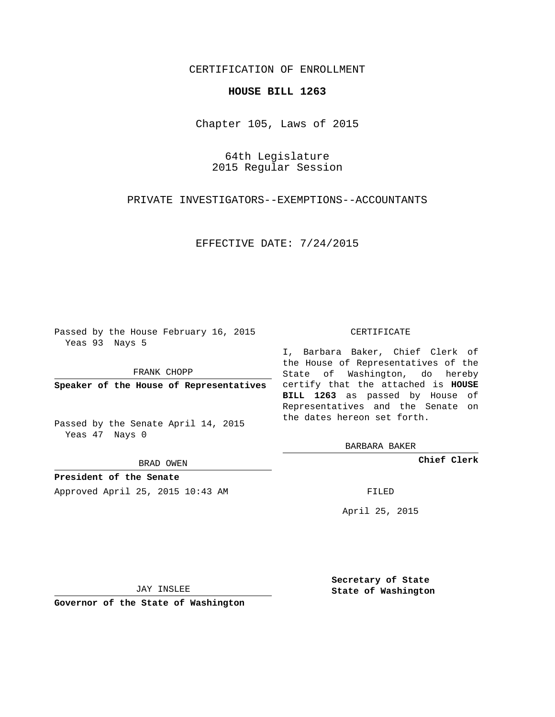## CERTIFICATION OF ENROLLMENT

## **HOUSE BILL 1263**

Chapter 105, Laws of 2015

# 64th Legislature 2015 Regular Session

## PRIVATE INVESTIGATORS--EXEMPTIONS--ACCOUNTANTS

### EFFECTIVE DATE: 7/24/2015

Passed by the House February 16, 2015 Yeas 93 Nays 5

FRANK CHOPP

Passed by the Senate April 14, 2015 Yeas 47 Nays 0

BRAD OWEN

**President of the Senate**

Approved April 25, 2015 10:43 AM FILED

#### CERTIFICATE

**Speaker of the House of Representatives** certify that the attached is **HOUSE** I, Barbara Baker, Chief Clerk of the House of Representatives of the State of Washington, do hereby **BILL 1263** as passed by House of Representatives and the Senate on the dates hereon set forth.

BARBARA BAKER

**Chief Clerk**

April 25, 2015

JAY INSLEE

**Governor of the State of Washington**

**Secretary of State State of Washington**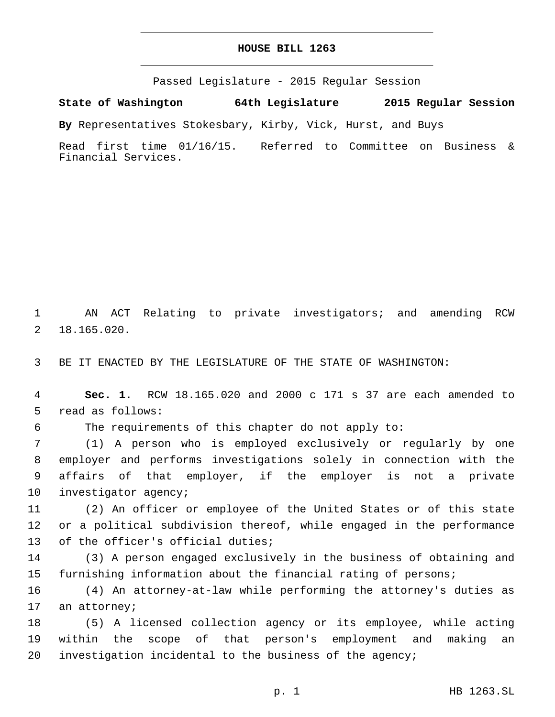## **HOUSE BILL 1263**

Passed Legislature - 2015 Regular Session

**State of Washington 64th Legislature 2015 Regular Session**

**By** Representatives Stokesbary, Kirby, Vick, Hurst, and Buys

Read first time 01/16/15. Referred to Committee on Business & Financial Services.

1 AN ACT Relating to private investigators; and amending RCW 18.165.020.2

3 BE IT ENACTED BY THE LEGISLATURE OF THE STATE OF WASHINGTON:

4 **Sec. 1.** RCW 18.165.020 and 2000 c 171 s 37 are each amended to 5 read as follows:

6 The requirements of this chapter do not apply to:

 (1) A person who is employed exclusively or regularly by one employer and performs investigations solely in connection with the affairs of that employer, if the employer is not a private 10 investigator agency;

11 (2) An officer or employee of the United States or of this state 12 or a political subdivision thereof, while engaged in the performance 13 of the officer's official duties;

14 (3) A person engaged exclusively in the business of obtaining and 15 furnishing information about the financial rating of persons;

16 (4) An attorney-at-law while performing the attorney's duties as 17 an attorney;

18 (5) A licensed collection agency or its employee, while acting 19 within the scope of that person's employment and making an 20 investigation incidental to the business of the agency;